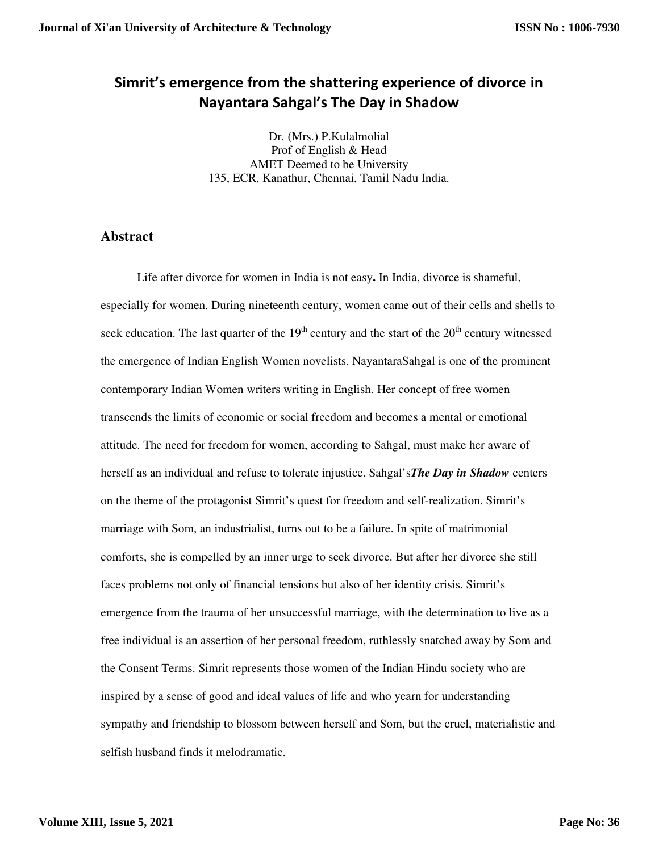## **Simrit's emergence from the shattering experience of divorce in Nayantara Sahgal's The Day in Shadow**

Dr. (Mrs.) P.Kulalmolial Prof of English & Head AMET Deemed to be University 135, ECR, Kanathur, Chennai, Tamil Nadu India.

## **Abstract**

Life after divorce for women in India is not easy**.** In India, divorce is shameful, especially for women. During nineteenth century, women came out of their cells and shells to seek education. The last quarter of the  $19<sup>th</sup>$  century and the start of the  $20<sup>th</sup>$  century witnessed the emergence of Indian English Women novelists. NayantaraSahgal is one of the prominent contemporary Indian Women writers writing in English. Her concept of free women transcends the limits of economic or social freedom and becomes a mental or emotional attitude. The need for freedom for women, according to Sahgal, must make her aware of herself as an individual and refuse to tolerate injustice. Sahgal's*The Day in Shadow* centers on the theme of the protagonist Simrit's quest for freedom and self-realization. Simrit's marriage with Som, an industrialist, turns out to be a failure. In spite of matrimonial comforts, she is compelled by an inner urge to seek divorce. But after her divorce she still faces problems not only of financial tensions but also of her identity crisis. Simrit's emergence from the trauma of her unsuccessful marriage, with the determination to live as a free individual is an assertion of her personal freedom, ruthlessly snatched away by Som and the Consent Terms. Simrit represents those women of the Indian Hindu society who are inspired by a sense of good and ideal values of life and who yearn for understanding sympathy and friendship to blossom between herself and Som, but the cruel, materialistic and selfish husband finds it melodramatic.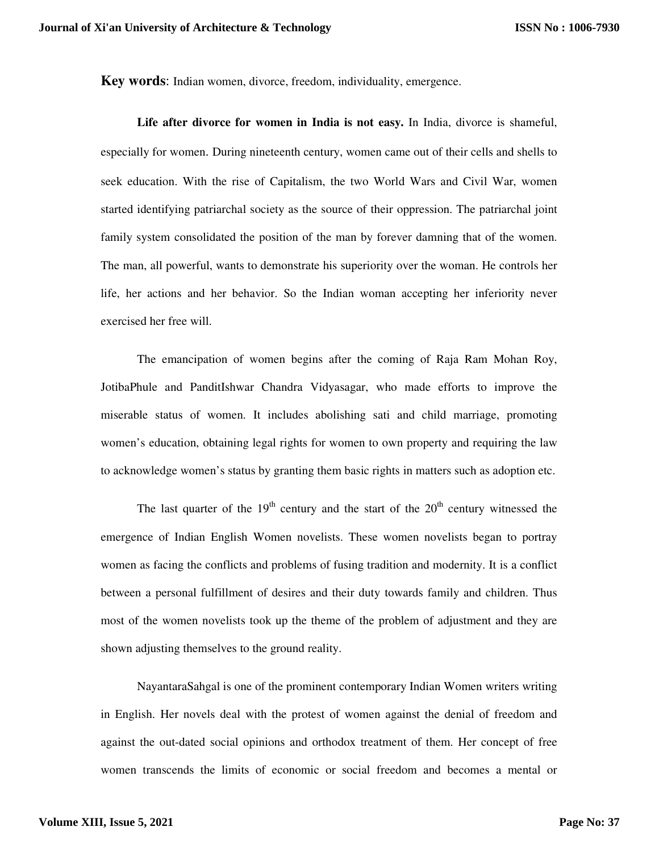**Key words**: Indian women, divorce, freedom, individuality, emergence.

**Life after divorce for women in India is not easy.** In India, divorce is shameful, especially for women. During nineteenth century, women came out of their cells and shells to seek education. With the rise of Capitalism, the two World Wars and Civil War, women started identifying patriarchal society as the source of their oppression. The patriarchal joint family system consolidated the position of the man by forever damning that of the women. The man, all powerful, wants to demonstrate his superiority over the woman. He controls her life, her actions and her behavior. So the Indian woman accepting her inferiority never exercised her free will.

The emancipation of women begins after the coming of Raja Ram Mohan Roy, JotibaPhule and PanditIshwar Chandra Vidyasagar, who made efforts to improve the miserable status of women. It includes abolishing sati and child marriage, promoting women's education, obtaining legal rights for women to own property and requiring the law to acknowledge women's status by granting them basic rights in matters such as adoption etc.

The last quarter of the  $19<sup>th</sup>$  century and the start of the  $20<sup>th</sup>$  century witnessed the emergence of Indian English Women novelists. These women novelists began to portray women as facing the conflicts and problems of fusing tradition and modernity. It is a conflict between a personal fulfillment of desires and their duty towards family and children. Thus most of the women novelists took up the theme of the problem of adjustment and they are shown adjusting themselves to the ground reality.

NayantaraSahgal is one of the prominent contemporary Indian Women writers writing in English. Her novels deal with the protest of women against the denial of freedom and against the out-dated social opinions and orthodox treatment of them. Her concept of free women transcends the limits of economic or social freedom and becomes a mental or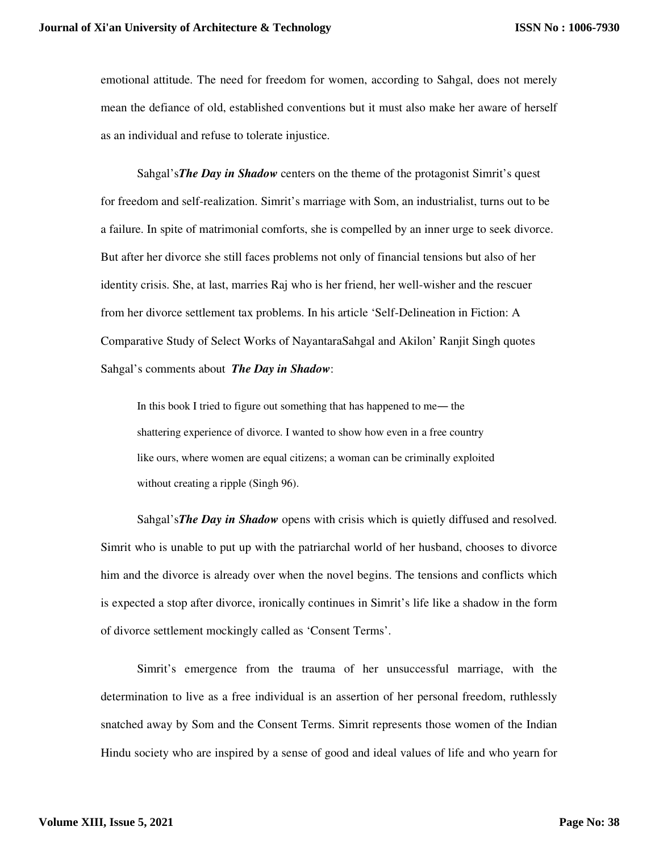emotional attitude. The need for freedom for women, according to Sahgal, does not merely mean the defiance of old, established conventions but it must also make her aware of herself as an individual and refuse to tolerate injustice.

Sahgal's*The Day in Shadow* centers on the theme of the protagonist Simrit's quest for freedom and self-realization. Simrit's marriage with Som, an industrialist, turns out to be a failure. In spite of matrimonial comforts, she is compelled by an inner urge to seek divorce. But after her divorce she still faces problems not only of financial tensions but also of her identity crisis. She, at last, marries Raj who is her friend, her well-wisher and the rescuer from her divorce settlement tax problems. In his article 'Self-Delineation in Fiction: A Comparative Study of Select Works of NayantaraSahgal and Akilon' Ranjit Singh quotes Sahgal's comments about *The Day in Shadow*:

In this book I tried to figure out something that has happened to me― the shattering experience of divorce. I wanted to show how even in a free country like ours, where women are equal citizens; a woman can be criminally exploited without creating a ripple (Singh 96).

Sahgal's*The Day in Shadow* opens with crisis which is quietly diffused and resolved. Simrit who is unable to put up with the patriarchal world of her husband, chooses to divorce him and the divorce is already over when the novel begins. The tensions and conflicts which is expected a stop after divorce, ironically continues in Simrit's life like a shadow in the form of divorce settlement mockingly called as 'Consent Terms'.

Simrit's emergence from the trauma of her unsuccessful marriage, with the determination to live as a free individual is an assertion of her personal freedom, ruthlessly snatched away by Som and the Consent Terms. Simrit represents those women of the Indian Hindu society who are inspired by a sense of good and ideal values of life and who yearn for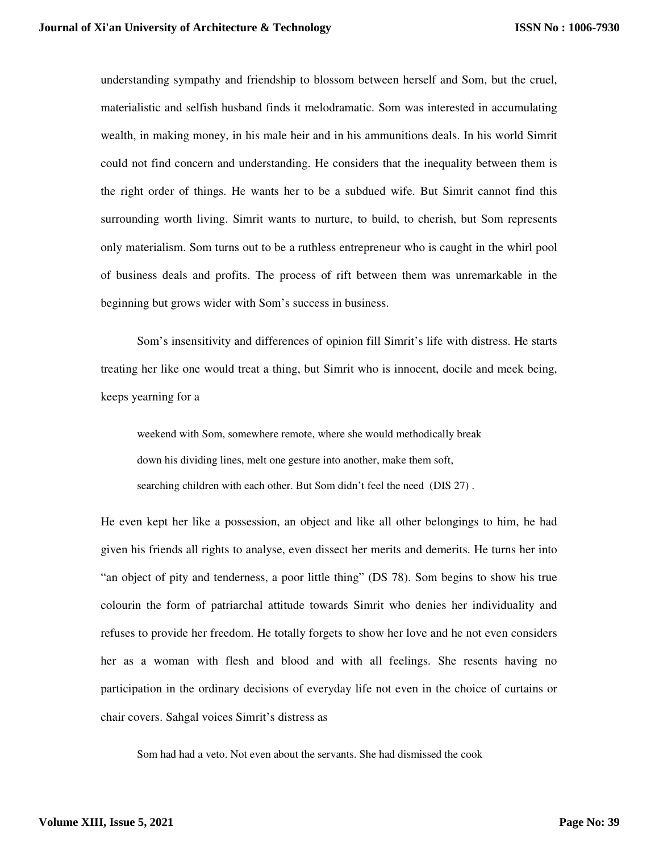understanding sympathy and friendship to blossom between herself and Som, but the cruel, materialistic and selfish husband finds it melodramatic. Som was interested in accumulating wealth, in making money, in his male heir and in his ammunitions deals. In his world Simrit could not find concern and understanding. He considers that the inequality between them is the right order of things. He wants her to be a subdued wife. But Simrit cannot find this surrounding worth living. Simrit wants to nurture, to build, to cherish, but Som represents only materialism. Som turns out to be a ruthless entrepreneur who is caught in the whirl pool of business deals and profits. The process of rift between them was unremarkable in the beginning but grows wider with Som's success in business.

Som's insensitivity and differences of opinion fill Simrit's life with distress. He starts treating her like one would treat a thing, but Simrit who is innocent, docile and meek being, keeps yearning for a

weekend with Som, somewhere remote, where she would methodically break down his dividing lines, melt one gesture into another, make them soft, searching children with each other. But Som didn't feel the need (DIS 27) .

He even kept her like a possession, an object and like all other belongings to him, he had given his friends all rights to analyse, even dissect her merits and demerits. He turns her into "an object of pity and tenderness, a poor little thing" (DS 78). Som begins to show his true colourin the form of patriarchal attitude towards Simrit who denies her individuality and refuses to provide her freedom. He totally forgets to show her love and he not even considers her as a woman with flesh and blood and with all feelings. She resents having no participation in the ordinary decisions of everyday life not even in the choice of curtains or chair covers. Sahgal voices Simrit's distress as

Som had had a veto. Not even about the servants. She had dismissed the cook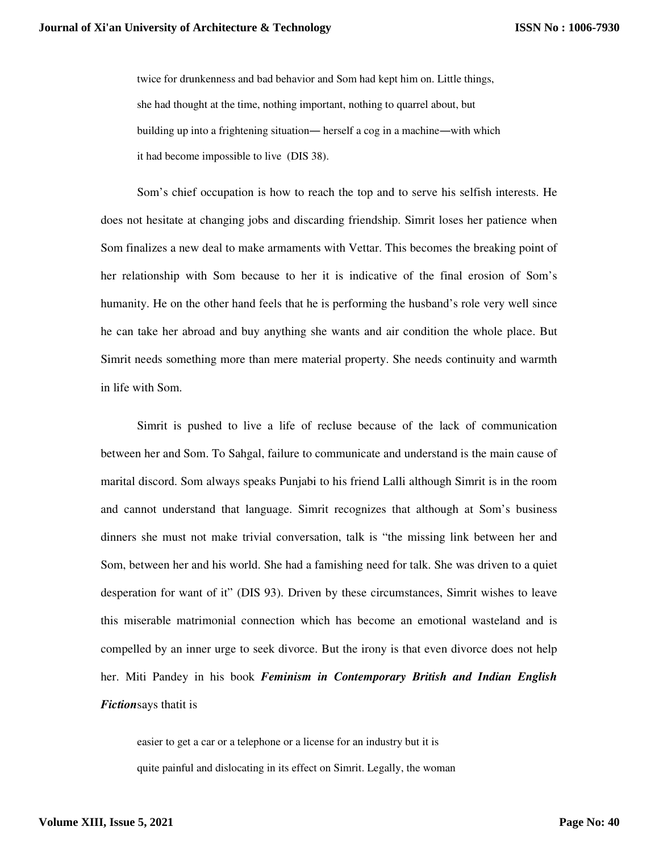twice for drunkenness and bad behavior and Som had kept him on. Little things, she had thought at the time, nothing important, nothing to quarrel about, but building up into a frightening situation― herself a cog in a machine―with which it had become impossible to live (DIS 38).

Som's chief occupation is how to reach the top and to serve his selfish interests. He does not hesitate at changing jobs and discarding friendship. Simrit loses her patience when Som finalizes a new deal to make armaments with Vettar. This becomes the breaking point of her relationship with Som because to her it is indicative of the final erosion of Som's humanity. He on the other hand feels that he is performing the husband's role very well since he can take her abroad and buy anything she wants and air condition the whole place. But Simrit needs something more than mere material property. She needs continuity and warmth in life with Som.

Simrit is pushed to live a life of recluse because of the lack of communication between her and Som. To Sahgal, failure to communicate and understand is the main cause of marital discord. Som always speaks Punjabi to his friend Lalli although Simrit is in the room and cannot understand that language. Simrit recognizes that although at Som's business dinners she must not make trivial conversation, talk is "the missing link between her and Som, between her and his world. She had a famishing need for talk. She was driven to a quiet desperation for want of it" (DIS 93). Driven by these circumstances, Simrit wishes to leave this miserable matrimonial connection which has become an emotional wasteland and is compelled by an inner urge to seek divorce. But the irony is that even divorce does not help her. Miti Pandey in his book *Feminism in Contemporary British and Indian English Fiction*says thatit is

easier to get a car or a telephone or a license for an industry but it is quite painful and dislocating in its effect on Simrit. Legally, the woman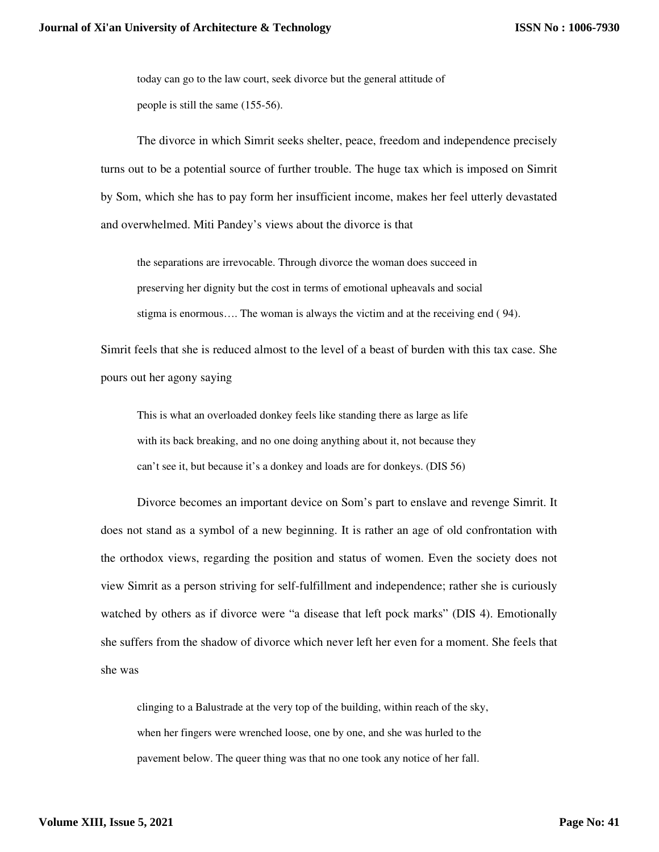today can go to the law court, seek divorce but the general attitude of people is still the same (155-56).

The divorce in which Simrit seeks shelter, peace, freedom and independence precisely turns out to be a potential source of further trouble. The huge tax which is imposed on Simrit by Som, which she has to pay form her insufficient income, makes her feel utterly devastated and overwhelmed. Miti Pandey's views about the divorce is that

the separations are irrevocable. Through divorce the woman does succeed in preserving her dignity but the cost in terms of emotional upheavals and social stigma is enormous…. The woman is always the victim and at the receiving end ( 94).

Simrit feels that she is reduced almost to the level of a beast of burden with this tax case. She pours out her agony saying

This is what an overloaded donkey feels like standing there as large as life with its back breaking, and no one doing anything about it, not because they can't see it, but because it's a donkey and loads are for donkeys. (DIS 56)

Divorce becomes an important device on Som's part to enslave and revenge Simrit. It does not stand as a symbol of a new beginning. It is rather an age of old confrontation with the orthodox views, regarding the position and status of women. Even the society does not view Simrit as a person striving for self-fulfillment and independence; rather she is curiously watched by others as if divorce were "a disease that left pock marks" (DIS 4). Emotionally she suffers from the shadow of divorce which never left her even for a moment. She feels that she was

clinging to a Balustrade at the very top of the building, within reach of the sky, when her fingers were wrenched loose, one by one, and she was hurled to the pavement below. The queer thing was that no one took any notice of her fall.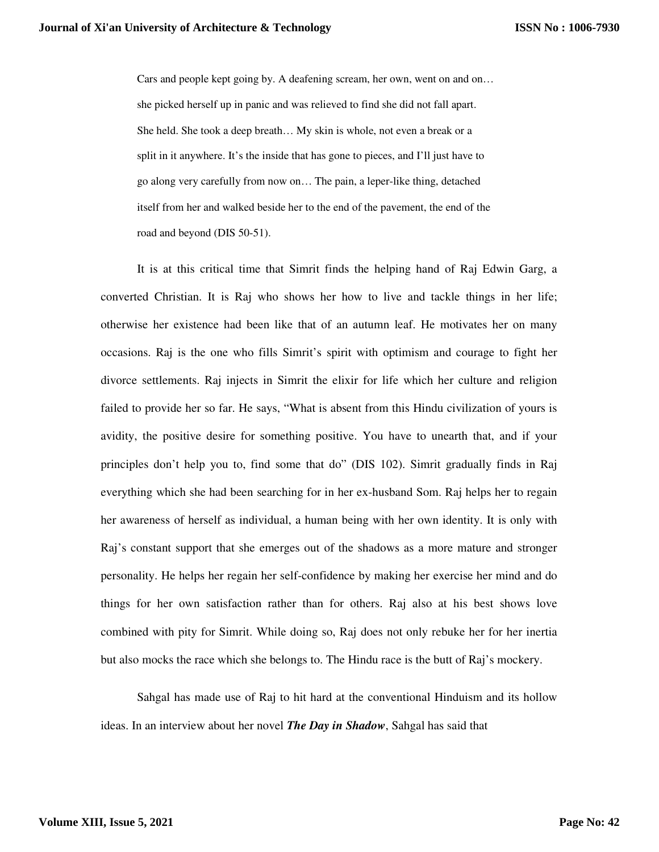Cars and people kept going by. A deafening scream, her own, went on and on… she picked herself up in panic and was relieved to find she did not fall apart. She held. She took a deep breath… My skin is whole, not even a break or a split in it anywhere. It's the inside that has gone to pieces, and I'll just have to go along very carefully from now on… The pain, a leper-like thing, detached itself from her and walked beside her to the end of the pavement, the end of the road and beyond (DIS 50-51).

It is at this critical time that Simrit finds the helping hand of Raj Edwin Garg, a converted Christian. It is Raj who shows her how to live and tackle things in her life; otherwise her existence had been like that of an autumn leaf. He motivates her on many occasions. Raj is the one who fills Simrit's spirit with optimism and courage to fight her divorce settlements. Raj injects in Simrit the elixir for life which her culture and religion failed to provide her so far. He says, "What is absent from this Hindu civilization of yours is avidity, the positive desire for something positive. You have to unearth that, and if your principles don't help you to, find some that do" (DIS 102). Simrit gradually finds in Raj everything which she had been searching for in her ex-husband Som. Raj helps her to regain her awareness of herself as individual, a human being with her own identity. It is only with Raj's constant support that she emerges out of the shadows as a more mature and stronger personality. He helps her regain her self-confidence by making her exercise her mind and do things for her own satisfaction rather than for others. Raj also at his best shows love combined with pity for Simrit. While doing so, Raj does not only rebuke her for her inertia but also mocks the race which she belongs to. The Hindu race is the butt of Raj's mockery.

Sahgal has made use of Raj to hit hard at the conventional Hinduism and its hollow ideas. In an interview about her novel *The Day in Shadow*, Sahgal has said that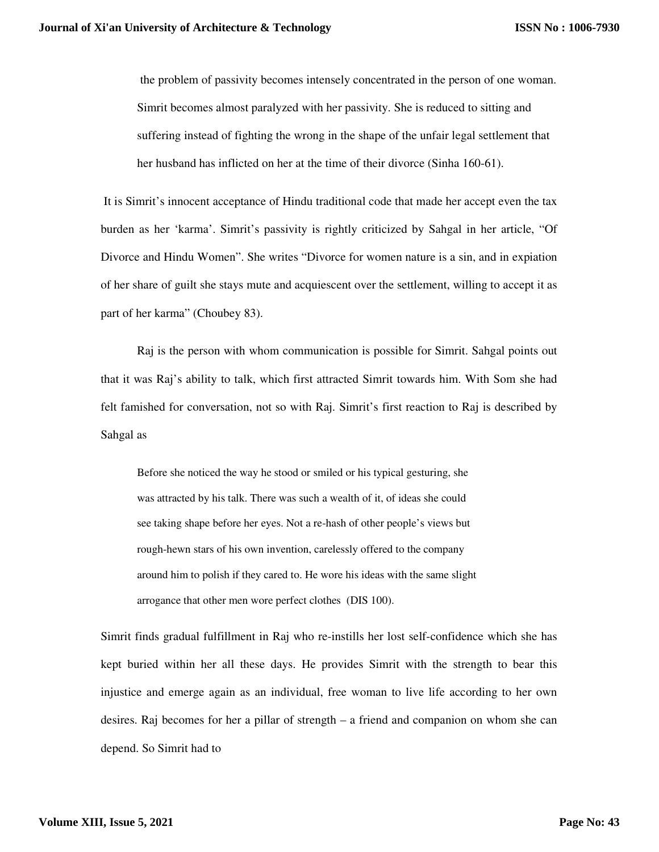the problem of passivity becomes intensely concentrated in the person of one woman. Simrit becomes almost paralyzed with her passivity. She is reduced to sitting and suffering instead of fighting the wrong in the shape of the unfair legal settlement that her husband has inflicted on her at the time of their divorce (Sinha 160-61).

 It is Simrit's innocent acceptance of Hindu traditional code that made her accept even the tax burden as her 'karma'. Simrit's passivity is rightly criticized by Sahgal in her article, "Of Divorce and Hindu Women". She writes "Divorce for women nature is a sin, and in expiation of her share of guilt she stays mute and acquiescent over the settlement, willing to accept it as part of her karma" (Choubey 83).

Raj is the person with whom communication is possible for Simrit. Sahgal points out that it was Raj's ability to talk, which first attracted Simrit towards him. With Som she had felt famished for conversation, not so with Raj. Simrit's first reaction to Raj is described by Sahgal as

Before she noticed the way he stood or smiled or his typical gesturing, she was attracted by his talk. There was such a wealth of it, of ideas she could see taking shape before her eyes. Not a re-hash of other people's views but rough-hewn stars of his own invention, carelessly offered to the company around him to polish if they cared to. He wore his ideas with the same slight arrogance that other men wore perfect clothes (DIS 100).

Simrit finds gradual fulfillment in Raj who re-instills her lost self-confidence which she has kept buried within her all these days. He provides Simrit with the strength to bear this injustice and emerge again as an individual, free woman to live life according to her own desires. Raj becomes for her a pillar of strength – a friend and companion on whom she can depend. So Simrit had to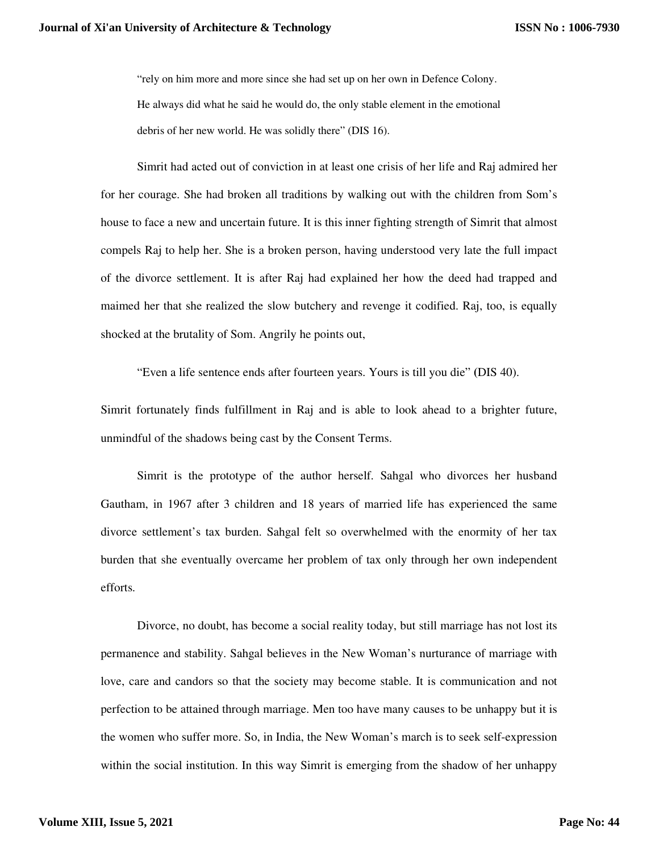"rely on him more and more since she had set up on her own in Defence Colony. He always did what he said he would do, the only stable element in the emotional debris of her new world. He was solidly there" (DIS 16).

Simrit had acted out of conviction in at least one crisis of her life and Raj admired her for her courage. She had broken all traditions by walking out with the children from Som's house to face a new and uncertain future. It is this inner fighting strength of Simrit that almost compels Raj to help her. She is a broken person, having understood very late the full impact of the divorce settlement. It is after Raj had explained her how the deed had trapped and maimed her that she realized the slow butchery and revenge it codified. Raj, too, is equally shocked at the brutality of Som. Angrily he points out,

"Even a life sentence ends after fourteen years. Yours is till you die" **(**DIS 40).

Simrit fortunately finds fulfillment in Raj and is able to look ahead to a brighter future, unmindful of the shadows being cast by the Consent Terms.

Simrit is the prototype of the author herself. Sahgal who divorces her husband Gautham, in 1967 after 3 children and 18 years of married life has experienced the same divorce settlement's tax burden. Sahgal felt so overwhelmed with the enormity of her tax burden that she eventually overcame her problem of tax only through her own independent efforts.

Divorce, no doubt, has become a social reality today, but still marriage has not lost its permanence and stability. Sahgal believes in the New Woman's nurturance of marriage with love, care and candors so that the society may become stable. It is communication and not perfection to be attained through marriage. Men too have many causes to be unhappy but it is the women who suffer more. So, in India, the New Woman's march is to seek self-expression within the social institution. In this way Simrit is emerging from the shadow of her unhappy